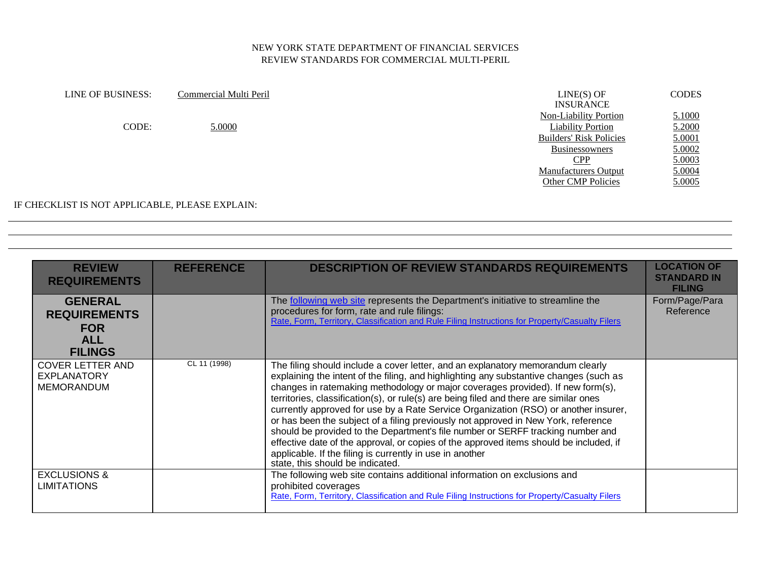| LINE OF BUSINESS: | Commercial Multi Peril | $LINE(S)$ OF<br><b>INSURANCE</b> | <b>CODES</b> |
|-------------------|------------------------|----------------------------------|--------------|
|                   |                        | <b>Non-Liability Portion</b>     | 5.1000       |
| CODE:             | 5.0000                 | <b>Liability Portion</b>         | 5.2000       |
|                   |                        | <b>Builders' Risk Policies</b>   | 5.0001       |
|                   |                        | Businessowners                   | 5.0002       |
|                   |                        | CPP                              | 5.0003       |
|                   |                        | <b>Manufacturers Output</b>      | 5.0004       |
|                   |                        | <b>Other CMP Policies</b>        | 5.0005       |
|                   |                        |                                  |              |

#### IF CHECKLIST IS NOT APPLICABLE, PLEASE EXPLAIN:

| <b>REVIEW</b><br><b>REQUIREMENTS</b>                                                | <b>REFERENCE</b> | <b>DESCRIPTION OF REVIEW STANDARDS REQUIREMENTS</b>                                                                                                                                                                                                                                                                                                                                                                                                                                                                                                                                                                                                                                                                                                                                                             | <b>LOCATION OF</b><br><b>STANDARD IN</b><br><b>FILING</b> |
|-------------------------------------------------------------------------------------|------------------|-----------------------------------------------------------------------------------------------------------------------------------------------------------------------------------------------------------------------------------------------------------------------------------------------------------------------------------------------------------------------------------------------------------------------------------------------------------------------------------------------------------------------------------------------------------------------------------------------------------------------------------------------------------------------------------------------------------------------------------------------------------------------------------------------------------------|-----------------------------------------------------------|
| <b>GENERAL</b><br><b>REQUIREMENTS</b><br><b>FOR</b><br><b>ALL</b><br><b>FILINGS</b> |                  | The following web site represents the Department's initiative to streamline the<br>procedures for form, rate and rule filings:<br>Rate, Form, Territory, Classification and Rule Filing Instructions for Property/Casualty Filers                                                                                                                                                                                                                                                                                                                                                                                                                                                                                                                                                                               | Form/Page/Para<br>Reference                               |
| <b>COVER LETTER AND</b><br><b>EXPLANATORY</b><br><b>MEMORANDUM</b>                  | CL 11 (1998)     | The filing should include a cover letter, and an explanatory memorandum clearly<br>explaining the intent of the filing, and highlighting any substantive changes (such as<br>changes in ratemaking methodology or major coverages provided). If new form(s),<br>territories, classification(s), or rule(s) are being filed and there are similar ones<br>currently approved for use by a Rate Service Organization (RSO) or another insurer,<br>or has been the subject of a filing previously not approved in New York, reference<br>should be provided to the Department's file number or SERFF tracking number and<br>effective date of the approval, or copies of the approved items should be included, if<br>applicable. If the filing is currently in use in another<br>state, this should be indicated. |                                                           |
| <b>EXCLUSIONS &amp;</b><br><b>LIMITATIONS</b>                                       |                  | The following web site contains additional information on exclusions and<br>prohibited coverages<br>Rate, Form, Territory, Classification and Rule Filing Instructions for Property/Casualty Filers                                                                                                                                                                                                                                                                                                                                                                                                                                                                                                                                                                                                             |                                                           |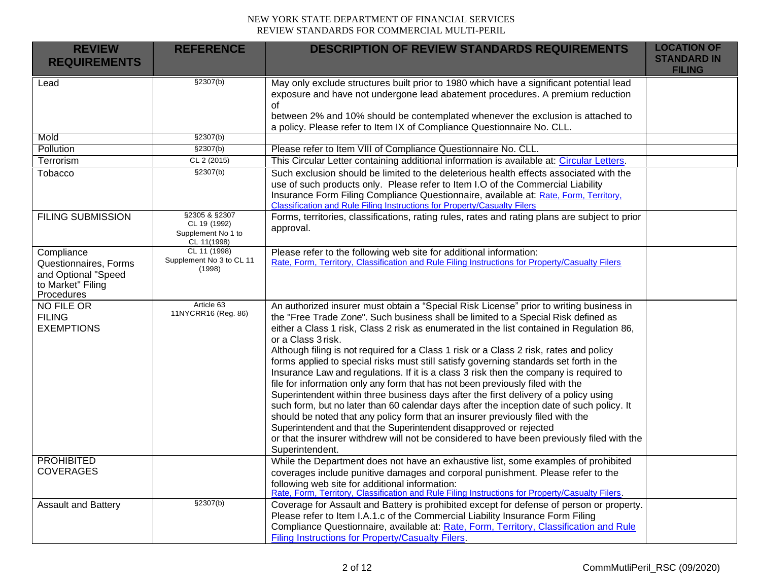| <b>REVIEW</b><br><b>REQUIREMENTS</b>                                                          | <b>REFERENCE</b>                                                   | <b>DESCRIPTION OF REVIEW STANDARDS REQUIREMENTS</b>                                                                                                                                                                                                                                                                                                                                                                                                                                                                                                                                                                                                                                                                                                                                                                                                                                                                                                                                                                                                                                                                            | <b>LOCATION OF</b><br><b>STANDARD IN</b> |
|-----------------------------------------------------------------------------------------------|--------------------------------------------------------------------|--------------------------------------------------------------------------------------------------------------------------------------------------------------------------------------------------------------------------------------------------------------------------------------------------------------------------------------------------------------------------------------------------------------------------------------------------------------------------------------------------------------------------------------------------------------------------------------------------------------------------------------------------------------------------------------------------------------------------------------------------------------------------------------------------------------------------------------------------------------------------------------------------------------------------------------------------------------------------------------------------------------------------------------------------------------------------------------------------------------------------------|------------------------------------------|
|                                                                                               |                                                                    |                                                                                                                                                                                                                                                                                                                                                                                                                                                                                                                                                                                                                                                                                                                                                                                                                                                                                                                                                                                                                                                                                                                                | <b>FILING</b>                            |
| Lead                                                                                          | \$2307(b)                                                          | May only exclude structures built prior to 1980 which have a significant potential lead<br>exposure and have not undergone lead abatement procedures. A premium reduction<br>οf<br>between 2% and 10% should be contemplated whenever the exclusion is attached to<br>a policy. Please refer to Item IX of Compliance Questionnaire No. CLL.                                                                                                                                                                                                                                                                                                                                                                                                                                                                                                                                                                                                                                                                                                                                                                                   |                                          |
| Mold                                                                                          | \$2307(b)                                                          |                                                                                                                                                                                                                                                                                                                                                                                                                                                                                                                                                                                                                                                                                                                                                                                                                                                                                                                                                                                                                                                                                                                                |                                          |
| Pollution                                                                                     | \$2307(b)                                                          | Please refer to Item VIII of Compliance Questionnaire No. CLL.                                                                                                                                                                                                                                                                                                                                                                                                                                                                                                                                                                                                                                                                                                                                                                                                                                                                                                                                                                                                                                                                 |                                          |
| Terrorism                                                                                     | CL 2 (2015)                                                        | This Circular Letter containing additional information is available at: Circular Letters.                                                                                                                                                                                                                                                                                                                                                                                                                                                                                                                                                                                                                                                                                                                                                                                                                                                                                                                                                                                                                                      |                                          |
| Tobacco                                                                                       | \$2307(b)                                                          | Such exclusion should be limited to the deleterious health effects associated with the<br>use of such products only. Please refer to Item I.O of the Commercial Liability<br>Insurance Form Filing Compliance Questionnaire, available at: Rate, Form, Territory,<br><b>Classification and Rule Filing Instructions for Property/Casualty Filers</b>                                                                                                                                                                                                                                                                                                                                                                                                                                                                                                                                                                                                                                                                                                                                                                           |                                          |
| <b>FILING SUBMISSION</b>                                                                      | §2305 & §2307<br>CL 19 (1992)<br>Supplement No 1 to<br>CL 11(1998) | Forms, territories, classifications, rating rules, rates and rating plans are subject to prior<br>approval.                                                                                                                                                                                                                                                                                                                                                                                                                                                                                                                                                                                                                                                                                                                                                                                                                                                                                                                                                                                                                    |                                          |
| Compliance<br>Questionnaires, Forms<br>and Optional "Speed<br>to Market" Filing<br>Procedures | CL 11 (1998)<br>Supplement No 3 to CL 11<br>(1998)                 | Please refer to the following web site for additional information:<br>Rate, Form, Territory, Classification and Rule Filing Instructions for Property/Casualty Filers                                                                                                                                                                                                                                                                                                                                                                                                                                                                                                                                                                                                                                                                                                                                                                                                                                                                                                                                                          |                                          |
| NO FILE OR<br><b>FILING</b><br><b>EXEMPTIONS</b>                                              | Article 63<br>11NYCRR16 (Reg. 86)                                  | An authorized insurer must obtain a "Special Risk License" prior to writing business in<br>the "Free Trade Zone". Such business shall be limited to a Special Risk defined as<br>either a Class 1 risk, Class 2 risk as enumerated in the list contained in Regulation 86,<br>or a Class 3 risk.<br>Although filing is not required for a Class 1 risk or a Class 2 risk, rates and policy<br>forms applied to special risks must still satisfy governing standards set forth in the<br>Insurance Law and regulations. If it is a class 3 risk then the company is required to<br>file for information only any form that has not been previously filed with the<br>Superintendent within three business days after the first delivery of a policy using<br>such form, but no later than 60 calendar days after the inception date of such policy. It<br>should be noted that any policy form that an insurer previously filed with the<br>Superintendent and that the Superintendent disapproved or rejected<br>or that the insurer withdrew will not be considered to have been previously filed with the<br>Superintendent. |                                          |
| <b>PROHIBITED</b><br><b>COVERAGES</b>                                                         |                                                                    | While the Department does not have an exhaustive list, some examples of prohibited<br>coverages include punitive damages and corporal punishment. Please refer to the<br>following web site for additional information:<br>Rate, Form, Territory, Classification and Rule Filing Instructions for Property/Casualty Filers.                                                                                                                                                                                                                                                                                                                                                                                                                                                                                                                                                                                                                                                                                                                                                                                                    |                                          |
| Assault and Battery                                                                           | \$2307(b)                                                          | Coverage for Assault and Battery is prohibited except for defense of person or property.<br>Please refer to Item I.A.1.c of the Commercial Liability Insurance Form Filing<br>Compliance Questionnaire, available at: Rate, Form, Territory, Classification and Rule<br>Filing Instructions for Property/Casualty Filers.                                                                                                                                                                                                                                                                                                                                                                                                                                                                                                                                                                                                                                                                                                                                                                                                      |                                          |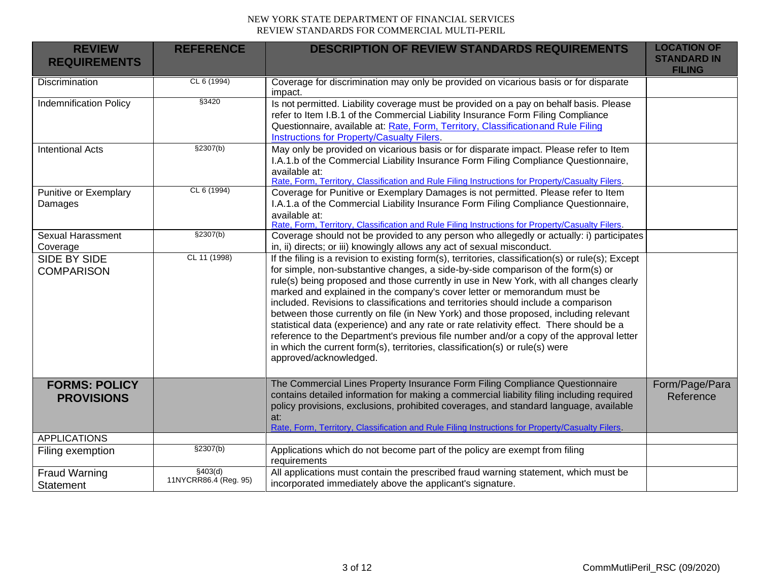| <b>REVIEW</b><br><b>REQUIREMENTS</b>      | <b>REFERENCE</b>                  | <b>DESCRIPTION OF REVIEW STANDARDS REQUIREMENTS</b>                                                                                                                                                                                                                                                                                                                                                                                                                                                                                                                                                                                                                                                                                                                                                                                         | <b>LOCATION OF</b><br><b>STANDARD IN</b><br><b>FILING</b> |
|-------------------------------------------|-----------------------------------|---------------------------------------------------------------------------------------------------------------------------------------------------------------------------------------------------------------------------------------------------------------------------------------------------------------------------------------------------------------------------------------------------------------------------------------------------------------------------------------------------------------------------------------------------------------------------------------------------------------------------------------------------------------------------------------------------------------------------------------------------------------------------------------------------------------------------------------------|-----------------------------------------------------------|
| <b>Discrimination</b>                     | CL 6 (1994)                       | Coverage for discrimination may only be provided on vicarious basis or for disparate<br>impact.                                                                                                                                                                                                                                                                                                                                                                                                                                                                                                                                                                                                                                                                                                                                             |                                                           |
| <b>Indemnification Policy</b>             | §3420                             | Is not permitted. Liability coverage must be provided on a pay on behalf basis. Please<br>refer to Item I.B.1 of the Commercial Liability Insurance Form Filing Compliance<br>Questionnaire, available at: Rate, Form, Territory, Classificationand Rule Filing<br>Instructions for Property/Casualty Filers.                                                                                                                                                                                                                                                                                                                                                                                                                                                                                                                               |                                                           |
| <b>Intentional Acts</b>                   | \$2307(b)                         | May only be provided on vicarious basis or for disparate impact. Please refer to Item<br>I.A.1.b of the Commercial Liability Insurance Form Filing Compliance Questionnaire,<br>available at:<br>Rate, Form, Territory, Classification and Rule Filing Instructions for Property/Casualty Filers.                                                                                                                                                                                                                                                                                                                                                                                                                                                                                                                                           |                                                           |
| <b>Punitive or Exemplary</b><br>Damages   | CL 6 (1994)                       | Coverage for Punitive or Exemplary Damages is not permitted. Please refer to Item<br>I.A.1.a of the Commercial Liability Insurance Form Filing Compliance Questionnaire,<br>available at:<br>Rate, Form, Territory, Classification and Rule Filing Instructions for Property/Casualty Filers.                                                                                                                                                                                                                                                                                                                                                                                                                                                                                                                                               |                                                           |
| <b>Sexual Harassment</b><br>Coverage      | \$2307(b)                         | Coverage should not be provided to any person who allegedly or actually: i) participates<br>in, ii) directs; or iii) knowingly allows any act of sexual misconduct.                                                                                                                                                                                                                                                                                                                                                                                                                                                                                                                                                                                                                                                                         |                                                           |
| SIDE BY SIDE<br><b>COMPARISON</b>         | CL 11 (1998)                      | If the filing is a revision to existing form(s), territories, classification(s) or rule(s); Except<br>for simple, non-substantive changes, a side-by-side comparison of the form(s) or<br>rule(s) being proposed and those currently in use in New York, with all changes clearly<br>marked and explained in the company's cover letter or memorandum must be<br>included. Revisions to classifications and territories should include a comparison<br>between those currently on file (in New York) and those proposed, including relevant<br>statistical data (experience) and any rate or rate relativity effect. There should be a<br>reference to the Department's previous file number and/or a copy of the approval letter<br>in which the current form(s), territories, classification(s) or rule(s) were<br>approved/acknowledged. |                                                           |
| <b>FORMS: POLICY</b><br><b>PROVISIONS</b> |                                   | The Commercial Lines Property Insurance Form Filing Compliance Questionnaire<br>contains detailed information for making a commercial liability filing including required<br>policy provisions, exclusions, prohibited coverages, and standard language, available<br>at:<br>Rate, Form, Territory, Classification and Rule Filing Instructions for Property/Casualty Filers.                                                                                                                                                                                                                                                                                                                                                                                                                                                               | Form/Page/Para<br>Reference                               |
| <b>APPLICATIONS</b>                       |                                   |                                                                                                                                                                                                                                                                                                                                                                                                                                                                                                                                                                                                                                                                                                                                                                                                                                             |                                                           |
| Filing exemption                          | \$2307(b)                         | Applications which do not become part of the policy are exempt from filing<br>requirements                                                                                                                                                                                                                                                                                                                                                                                                                                                                                                                                                                                                                                                                                                                                                  |                                                           |
| <b>Fraud Warning</b><br><b>Statement</b>  | \$403(d)<br>11NYCRR86.4 (Reg. 95) | All applications must contain the prescribed fraud warning statement, which must be<br>incorporated immediately above the applicant's signature.                                                                                                                                                                                                                                                                                                                                                                                                                                                                                                                                                                                                                                                                                            |                                                           |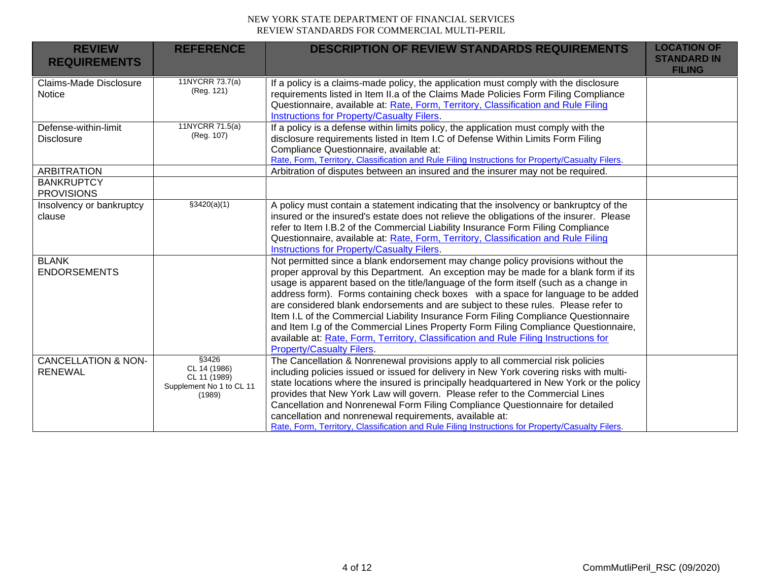| <b>REVIEW</b><br><b>REQUIREMENTS</b>                         | <b>REFERENCE</b>                                                             | <b>DESCRIPTION OF REVIEW STANDARDS REQUIREMENTS</b>                                                                                                                                                                                                                                                                                                                                                                                                                                                                                                                                                                                                                                                                                                   | <b>LOCATION OF</b><br><b>STANDARD IN</b><br><b>FILING</b> |
|--------------------------------------------------------------|------------------------------------------------------------------------------|-------------------------------------------------------------------------------------------------------------------------------------------------------------------------------------------------------------------------------------------------------------------------------------------------------------------------------------------------------------------------------------------------------------------------------------------------------------------------------------------------------------------------------------------------------------------------------------------------------------------------------------------------------------------------------------------------------------------------------------------------------|-----------------------------------------------------------|
| Claims-Made Disclosure<br><b>Notice</b>                      | 11NYCRR 73.7(a)<br>(Reg. 121)                                                | If a policy is a claims-made policy, the application must comply with the disclosure<br>requirements listed in Item II.a of the Claims Made Policies Form Filing Compliance<br>Questionnaire, available at: Rate, Form, Territory, Classification and Rule Filing<br><b>Instructions for Property/Casualty Filers.</b>                                                                                                                                                                                                                                                                                                                                                                                                                                |                                                           |
| Defense-within-limit<br><b>Disclosure</b>                    | 11NYCRR 71.5(a)<br>(Reg. 107)                                                | If a policy is a defense within limits policy, the application must comply with the<br>disclosure requirements listed in Item I.C of Defense Within Limits Form Filing<br>Compliance Questionnaire, available at:<br>Rate, Form, Territory, Classification and Rule Filing Instructions for Property/Casualty Filers.                                                                                                                                                                                                                                                                                                                                                                                                                                 |                                                           |
| <b>ARBITRATION</b><br><b>BANKRUPTCY</b><br><b>PROVISIONS</b> |                                                                              | Arbitration of disputes between an insured and the insurer may not be required.                                                                                                                                                                                                                                                                                                                                                                                                                                                                                                                                                                                                                                                                       |                                                           |
| Insolvency or bankruptcy<br>clause                           | \$3420(a)(1)                                                                 | A policy must contain a statement indicating that the insolvency or bankruptcy of the<br>insured or the insured's estate does not relieve the obligations of the insurer. Please<br>refer to Item I.B.2 of the Commercial Liability Insurance Form Filing Compliance<br>Questionnaire, available at: Rate, Form, Territory, Classification and Rule Filing<br><b>Instructions for Property/Casualty Filers.</b>                                                                                                                                                                                                                                                                                                                                       |                                                           |
| <b>BLANK</b><br><b>ENDORSEMENTS</b>                          |                                                                              | Not permitted since a blank endorsement may change policy provisions without the<br>proper approval by this Department. An exception may be made for a blank form if its<br>usage is apparent based on the title/language of the form itself (such as a change in<br>address form). Forms containing check boxes with a space for language to be added<br>are considered blank endorsements and are subject to these rules. Please refer to<br>Item I.L of the Commercial Liability Insurance Form Filing Compliance Questionnaire<br>and Item I.g of the Commercial Lines Property Form Filing Compliance Questionnaire,<br>available at: Rate, Form, Territory, Classification and Rule Filing Instructions for<br><b>Property/Casualty Filers.</b> |                                                           |
| <b>CANCELLATION &amp; NON-</b><br><b>RENEWAL</b>             | \$3426<br>CL 14 (1986)<br>CL 11 (1989)<br>Supplement No 1 to CL 11<br>(1989) | The Cancellation & Nonrenewal provisions apply to all commercial risk policies<br>including policies issued or issued for delivery in New York covering risks with multi-<br>state locations where the insured is principally headquartered in New York or the policy<br>provides that New York Law will govern. Please refer to the Commercial Lines<br>Cancellation and Nonrenewal Form Filing Compliance Questionnaire for detailed<br>cancellation and nonrenewal requirements, available at:<br>Rate, Form, Territory, Classification and Rule Filing Instructions for Property/Casualty Filers.                                                                                                                                                 |                                                           |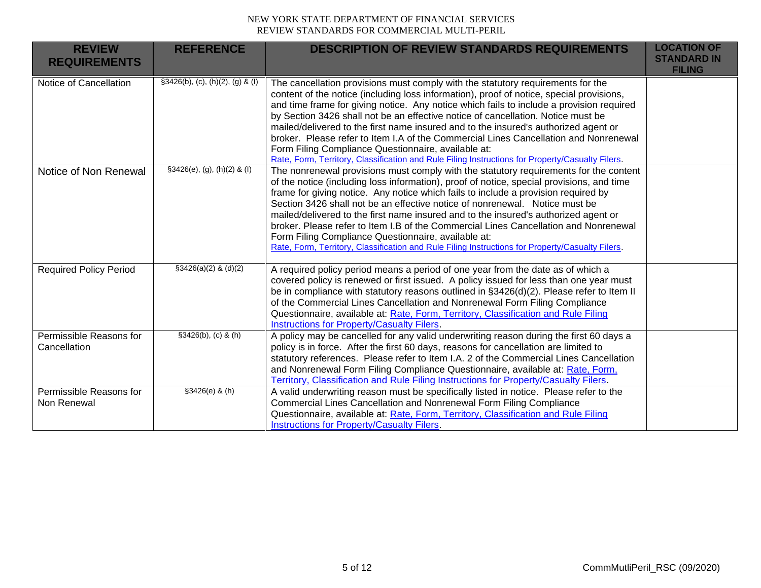| <b>REVIEW</b><br><b>REQUIREMENTS</b>    | <b>REFERENCE</b>                     | <b>DESCRIPTION OF REVIEW STANDARDS REQUIREMENTS</b>                                                                                                                                                                                                                                                                                                                                                                                                                                                                                                                                                                                                                                                   | <b>LOCATION OF</b><br><b>STANDARD IN</b><br><b>FILING</b> |
|-----------------------------------------|--------------------------------------|-------------------------------------------------------------------------------------------------------------------------------------------------------------------------------------------------------------------------------------------------------------------------------------------------------------------------------------------------------------------------------------------------------------------------------------------------------------------------------------------------------------------------------------------------------------------------------------------------------------------------------------------------------------------------------------------------------|-----------------------------------------------------------|
| Notice of Cancellation                  | $\S3426(b)$ , (c), (h)(2), (g) & (l) | The cancellation provisions must comply with the statutory requirements for the<br>content of the notice (including loss information), proof of notice, special provisions,<br>and time frame for giving notice. Any notice which fails to include a provision required<br>by Section 3426 shall not be an effective notice of cancellation. Notice must be<br>mailed/delivered to the first name insured and to the insured's authorized agent or<br>broker. Please refer to Item I.A of the Commercial Lines Cancellation and Nonrenewal<br>Form Filing Compliance Questionnaire, available at:<br>Rate, Form, Territory, Classification and Rule Filing Instructions for Property/Casualty Filers. |                                                           |
| Notice of Non Renewal                   | $§3426(e), (g), (h)(2)$ & (I)        | The nonrenewal provisions must comply with the statutory requirements for the content<br>of the notice (including loss information), proof of notice, special provisions, and time<br>frame for giving notice. Any notice which fails to include a provision required by<br>Section 3426 shall not be an effective notice of nonrenewal. Notice must be<br>mailed/delivered to the first name insured and to the insured's authorized agent or<br>broker. Please refer to Item I.B of the Commercial Lines Cancellation and Nonrenewal<br>Form Filing Compliance Questionnaire, available at:<br>Rate, Form, Territory, Classification and Rule Filing Instructions for Property/Casualty Filers.     |                                                           |
| <b>Required Policy Period</b>           | $$3426(a)(2)$ & (d)(2)               | A required policy period means a period of one year from the date as of which a<br>covered policy is renewed or first issued. A policy issued for less than one year must<br>be in compliance with statutory reasons outlined in §3426(d)(2). Please refer to Item II<br>of the Commercial Lines Cancellation and Nonrenewal Form Filing Compliance<br>Questionnaire, available at: Rate, Form, Territory, Classification and Rule Filing<br>Instructions for Property/Casualty Filers.                                                                                                                                                                                                               |                                                           |
| Permissible Reasons for<br>Cancellation | $$3426(b), (c)$ & (h)                | A policy may be cancelled for any valid underwriting reason during the first 60 days a<br>policy is in force. After the first 60 days, reasons for cancellation are limited to<br>statutory references. Please refer to Item I.A. 2 of the Commercial Lines Cancellation<br>and Nonrenewal Form Filing Compliance Questionnaire, available at: Rate, Form,<br>Territory, Classification and Rule Filing Instructions for Property/Casualty Filers.                                                                                                                                                                                                                                                    |                                                           |
| Permissible Reasons for<br>Non Renewal  | §3426(e) & (h)                       | A valid underwriting reason must be specifically listed in notice. Please refer to the<br>Commercial Lines Cancellation and Nonrenewal Form Filing Compliance<br>Questionnaire, available at: Rate, Form, Territory, Classification and Rule Filing<br>Instructions for Property/Casualty Filers.                                                                                                                                                                                                                                                                                                                                                                                                     |                                                           |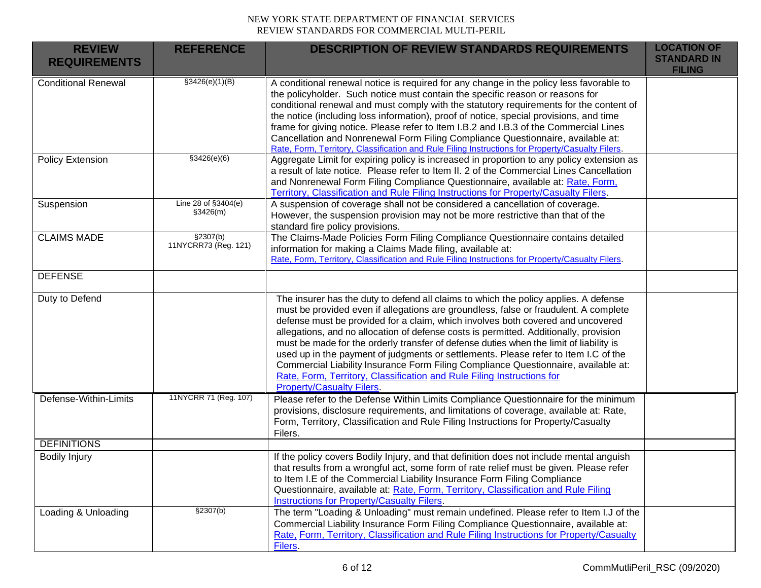| <b>REVIEW</b><br><b>REQUIREMENTS</b> | <b>REFERENCE</b>                  | <b>DESCRIPTION OF REVIEW STANDARDS REQUIREMENTS</b>                                                                                                                                                                                                                                                                                                                                                                                                                                                                                                                                                                                                                                                                                           | <b>LOCATION OF</b><br><b>STANDARD IN</b><br><b>FILING</b> |
|--------------------------------------|-----------------------------------|-----------------------------------------------------------------------------------------------------------------------------------------------------------------------------------------------------------------------------------------------------------------------------------------------------------------------------------------------------------------------------------------------------------------------------------------------------------------------------------------------------------------------------------------------------------------------------------------------------------------------------------------------------------------------------------------------------------------------------------------------|-----------------------------------------------------------|
| <b>Conditional Renewal</b>           | \$3426(e)(1)(B)                   | A conditional renewal notice is required for any change in the policy less favorable to<br>the policyholder. Such notice must contain the specific reason or reasons for<br>conditional renewal and must comply with the statutory requirements for the content of<br>the notice (including loss information), proof of notice, special provisions, and time<br>frame for giving notice. Please refer to Item I.B.2 and I.B.3 of the Commercial Lines<br>Cancellation and Nonrenewal Form Filing Compliance Questionnaire, available at:<br>Rate, Form, Territory, Classification and Rule Filing Instructions for Property/Casualty Filers.                                                                                                  |                                                           |
| Policy Extension                     | \$3426(e)(6)                      | Aggregate Limit for expiring policy is increased in proportion to any policy extension as<br>a result of late notice. Please refer to Item II. 2 of the Commercial Lines Cancellation<br>and Nonrenewal Form Filing Compliance Questionnaire, available at: Rate, Form,<br>Territory, Classification and Rule Filing Instructions for Property/Casualty Filers.                                                                                                                                                                                                                                                                                                                                                                               |                                                           |
| Suspension                           | Line 28 of §3404(e)<br>\$3426(m)  | A suspension of coverage shall not be considered a cancellation of coverage.<br>However, the suspension provision may not be more restrictive than that of the<br>standard fire policy provisions.                                                                                                                                                                                                                                                                                                                                                                                                                                                                                                                                            |                                                           |
| <b>CLAIMS MADE</b>                   | \$2307(b)<br>11NYCRR73 (Reg. 121) | The Claims-Made Policies Form Filing Compliance Questionnaire contains detailed<br>information for making a Claims Made filing, available at:<br>Rate, Form, Territory, Classification and Rule Filing Instructions for Property/Casualty Filers.                                                                                                                                                                                                                                                                                                                                                                                                                                                                                             |                                                           |
| <b>DEFENSE</b>                       |                                   |                                                                                                                                                                                                                                                                                                                                                                                                                                                                                                                                                                                                                                                                                                                                               |                                                           |
| Duty to Defend                       |                                   | The insurer has the duty to defend all claims to which the policy applies. A defense<br>must be provided even if allegations are groundless, false or fraudulent. A complete<br>defense must be provided for a claim, which involves both covered and uncovered<br>allegations, and no allocation of defense costs is permitted. Additionally, provision<br>must be made for the orderly transfer of defense duties when the limit of liability is<br>used up in the payment of judgments or settlements. Please refer to Item I.C of the<br>Commercial Liability Insurance Form Filing Compliance Questionnaire, available at:<br>Rate, Form, Territory, Classification and Rule Filing Instructions for<br><b>Property/Casualty Filers.</b> |                                                           |
| Defense-Within-Limits                | 11NYCRR 71 (Reg. 107)             | Please refer to the Defense Within Limits Compliance Questionnaire for the minimum<br>provisions, disclosure requirements, and limitations of coverage, available at: Rate,<br>Form, Territory, Classification and Rule Filing Instructions for Property/Casualty<br>Filers.                                                                                                                                                                                                                                                                                                                                                                                                                                                                  |                                                           |
| <b>DEFINITIONS</b>                   |                                   |                                                                                                                                                                                                                                                                                                                                                                                                                                                                                                                                                                                                                                                                                                                                               |                                                           |
| <b>Bodily Injury</b>                 |                                   | If the policy covers Bodily Injury, and that definition does not include mental anguish<br>that results from a wrongful act, some form of rate relief must be given. Please refer<br>to Item I.E of the Commercial Liability Insurance Form Filing Compliance<br>Questionnaire, available at: Rate, Form, Territory, Classification and Rule Filing<br><b>Instructions for Property/Casualty Filers.</b>                                                                                                                                                                                                                                                                                                                                      |                                                           |
| Loading & Unloading                  | \$2307(b)                         | The term "Loading & Unloading" must remain undefined. Please refer to Item I.J of the<br>Commercial Liability Insurance Form Filing Compliance Questionnaire, available at:<br>Rate, Form, Territory, Classification and Rule Filing Instructions for Property/Casualty<br>Filers.                                                                                                                                                                                                                                                                                                                                                                                                                                                            |                                                           |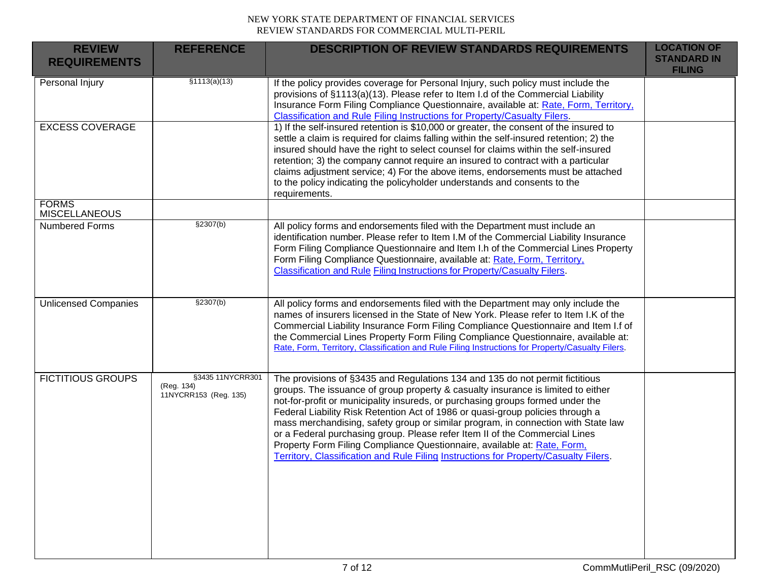| <b>REVIEW</b><br><b>REQUIREMENTS</b> | <b>REFERENCE</b>                                        | <b>DESCRIPTION OF REVIEW STANDARDS REQUIREMENTS</b>                                                                                                                                                                                                                                                                                                                                                                                                                                                                                                                                                                                                                          | <b>LOCATION OF</b><br><b>STANDARD IN</b><br><b>FILING</b> |
|--------------------------------------|---------------------------------------------------------|------------------------------------------------------------------------------------------------------------------------------------------------------------------------------------------------------------------------------------------------------------------------------------------------------------------------------------------------------------------------------------------------------------------------------------------------------------------------------------------------------------------------------------------------------------------------------------------------------------------------------------------------------------------------------|-----------------------------------------------------------|
| Personal Injury                      | \$1113(a)(13)                                           | If the policy provides coverage for Personal Injury, such policy must include the<br>provisions of §1113(a)(13). Please refer to Item I.d of the Commercial Liability<br>Insurance Form Filing Compliance Questionnaire, available at: Rate, Form, Territory,<br><b>Classification and Rule Filing Instructions for Property/Casualty Filers.</b>                                                                                                                                                                                                                                                                                                                            |                                                           |
| <b>EXCESS COVERAGE</b>               |                                                         | 1) If the self-insured retention is \$10,000 or greater, the consent of the insured to<br>settle a claim is required for claims falling within the self-insured retention; 2) the<br>insured should have the right to select counsel for claims within the self-insured<br>retention; 3) the company cannot require an insured to contract with a particular<br>claims adjustment service; 4) For the above items, endorsements must be attached<br>to the policy indicating the policyholder understands and consents to the<br>requirements.                                                                                                                               |                                                           |
| <b>FORMS</b><br><b>MISCELLANEOUS</b> |                                                         |                                                                                                                                                                                                                                                                                                                                                                                                                                                                                                                                                                                                                                                                              |                                                           |
| Numbered Forms                       | §2307(b)                                                | All policy forms and endorsements filed with the Department must include an<br>identification number. Please refer to Item I.M of the Commercial Liability Insurance<br>Form Filing Compliance Questionnaire and Item I.h of the Commercial Lines Property<br>Form Filing Compliance Questionnaire, available at: Rate, Form, Territory,<br>Classification and Rule Filing Instructions for Property/Casualty Filers.                                                                                                                                                                                                                                                        |                                                           |
| <b>Unlicensed Companies</b>          | §2307(b)                                                | All policy forms and endorsements filed with the Department may only include the<br>names of insurers licensed in the State of New York. Please refer to Item I.K of the<br>Commercial Liability Insurance Form Filing Compliance Questionnaire and Item I.f of<br>the Commercial Lines Property Form Filing Compliance Questionnaire, available at:<br>Rate, Form, Territory, Classification and Rule Filing Instructions for Property/Casualty Filers.                                                                                                                                                                                                                     |                                                           |
| <b>FICTITIOUS GROUPS</b>             | §3435 11NYCRR301<br>(Reg. 134)<br>11NYCRR153 (Reg. 135) | The provisions of §3435 and Regulations 134 and 135 do not permit fictitious<br>groups. The issuance of group property & casualty insurance is limited to either<br>not-for-profit or municipality insureds, or purchasing groups formed under the<br>Federal Liability Risk Retention Act of 1986 or quasi-group policies through a<br>mass merchandising, safety group or similar program, in connection with State law<br>or a Federal purchasing group. Please refer Item II of the Commercial Lines<br>Property Form Filing Compliance Questionnaire, available at: Rate, Form,<br>Territory, Classification and Rule Filing Instructions for Property/Casualty Filers. |                                                           |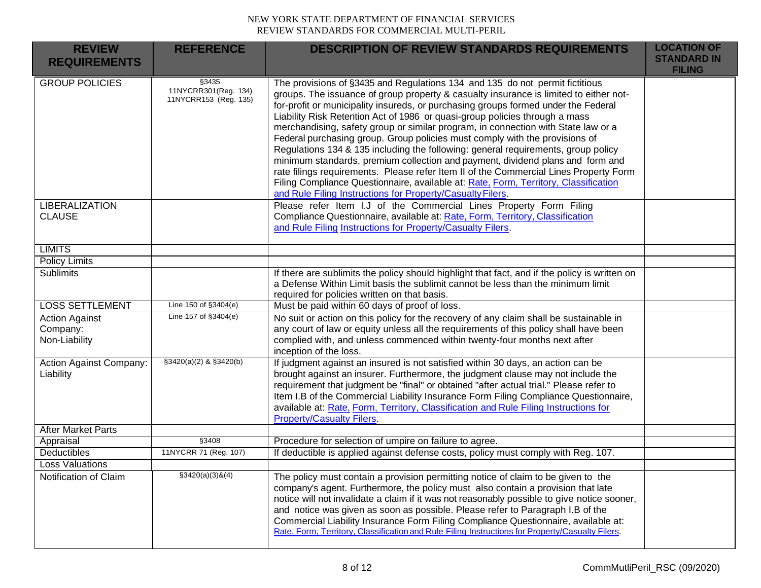| <b>REVIEW</b><br><b>REQUIREMENTS</b>               | <b>REFERENCE</b>                                       | <b>DESCRIPTION OF REVIEW STANDARDS REQUIREMENTS</b>                                                                                                                                                                                                                                                                                                                                                                                                                                                                                                                                                                                                                                                                                                                                                                                                                                                                                  | <b>LOCATION OF</b><br><b>STANDARD IN</b><br><b>FILING</b> |
|----------------------------------------------------|--------------------------------------------------------|--------------------------------------------------------------------------------------------------------------------------------------------------------------------------------------------------------------------------------------------------------------------------------------------------------------------------------------------------------------------------------------------------------------------------------------------------------------------------------------------------------------------------------------------------------------------------------------------------------------------------------------------------------------------------------------------------------------------------------------------------------------------------------------------------------------------------------------------------------------------------------------------------------------------------------------|-----------------------------------------------------------|
| <b>GROUP POLICIES</b>                              | §3435<br>11NYCRR301(Reg. 134)<br>11NYCRR153 (Reg. 135) | The provisions of §3435 and Regulations 134 and 135 do not permit fictitious<br>groups. The issuance of group property & casualty insurance is limited to either not-<br>for-profit or municipality insureds, or purchasing groups formed under the Federal<br>Liability Risk Retention Act of 1986 or quasi-group policies through a mass<br>merchandising, safety group or similar program, in connection with State law or a<br>Federal purchasing group. Group policies must comply with the provisions of<br>Regulations 134 & 135 including the following: general requirements, group policy<br>minimum standards, premium collection and payment, dividend plans and form and<br>rate filings requirements. Please refer Item II of the Commercial Lines Property Form<br>Filing Compliance Questionnaire, available at: Rate, Form, Territory, Classification<br>and Rule Filing Instructions for Property/Casualty Filers. |                                                           |
| <b>LIBERALIZATION</b><br><b>CLAUSE</b>             |                                                        | Please refer Item I.J of the Commercial Lines Property Form Filing<br>Compliance Questionnaire, available at: Rate, Form, Territory, Classification<br>and Rule Filing Instructions for Property/Casualty Filers.                                                                                                                                                                                                                                                                                                                                                                                                                                                                                                                                                                                                                                                                                                                    |                                                           |
| <b>LIMITS</b>                                      |                                                        |                                                                                                                                                                                                                                                                                                                                                                                                                                                                                                                                                                                                                                                                                                                                                                                                                                                                                                                                      |                                                           |
| <b>Policy Limits</b>                               |                                                        |                                                                                                                                                                                                                                                                                                                                                                                                                                                                                                                                                                                                                                                                                                                                                                                                                                                                                                                                      |                                                           |
| Sublimits                                          |                                                        | If there are sublimits the policy should highlight that fact, and if the policy is written on<br>a Defense Within Limit basis the sublimit cannot be less than the minimum limit<br>required for policies written on that basis.                                                                                                                                                                                                                                                                                                                                                                                                                                                                                                                                                                                                                                                                                                     |                                                           |
| <b>LOSS SETTLEMENT</b>                             | Line 150 of §3404(e)                                   | Must be paid within 60 days of proof of loss.                                                                                                                                                                                                                                                                                                                                                                                                                                                                                                                                                                                                                                                                                                                                                                                                                                                                                        |                                                           |
| <b>Action Against</b><br>Company:<br>Non-Liability | Line 157 of §3404(e)                                   | No suit or action on this policy for the recovery of any claim shall be sustainable in<br>any court of law or equity unless all the requirements of this policy shall have been<br>complied with, and unless commenced within twenty-four months next after<br>inception of the loss.                                                                                                                                                                                                                                                                                                                                                                                                                                                                                                                                                                                                                                                |                                                           |
| Action Against Company:<br>Liability               | $$3420(a)(2)$ & $$3420(b)$                             | If judgment against an insured is not satisfied within 30 days, an action can be<br>brought against an insurer. Furthermore, the judgment clause may not include the<br>requirement that judgment be "final" or obtained "after actual trial." Please refer to<br>Item I.B of the Commercial Liability Insurance Form Filing Compliance Questionnaire,<br>available at: Rate, Form, Territory, Classification and Rule Filing Instructions for<br><b>Property/Casualty Filers.</b>                                                                                                                                                                                                                                                                                                                                                                                                                                                   |                                                           |
| <b>After Market Parts</b>                          |                                                        |                                                                                                                                                                                                                                                                                                                                                                                                                                                                                                                                                                                                                                                                                                                                                                                                                                                                                                                                      |                                                           |
| Appraisal                                          | §3408                                                  | Procedure for selection of umpire on failure to agree.                                                                                                                                                                                                                                                                                                                                                                                                                                                                                                                                                                                                                                                                                                                                                                                                                                                                               |                                                           |
| Deductibles                                        | 11NYCRR 71 (Reg. 107)                                  | If deductible is applied against defense costs, policy must comply with Reg. 107.                                                                                                                                                                                                                                                                                                                                                                                                                                                                                                                                                                                                                                                                                                                                                                                                                                                    |                                                           |
| <b>Loss Valuations</b>                             |                                                        |                                                                                                                                                                                                                                                                                                                                                                                                                                                                                                                                                                                                                                                                                                                                                                                                                                                                                                                                      |                                                           |
| Notification of Claim                              | $$3420(a)(3)$ &(4)                                     | The policy must contain a provision permitting notice of claim to be given to the<br>company's agent. Furthermore, the policy must also contain a provision that late<br>notice will not invalidate a claim if it was not reasonably possible to give notice sooner,<br>and notice was given as soon as possible. Please refer to Paragraph I.B of the<br>Commercial Liability Insurance Form Filing Compliance Questionnaire, available at:<br>Rate, Form, Territory, Classification and Rule Filing Instructions for Property/Casualty Filers.                                                                                                                                                                                                                                                                                                                                                                                     |                                                           |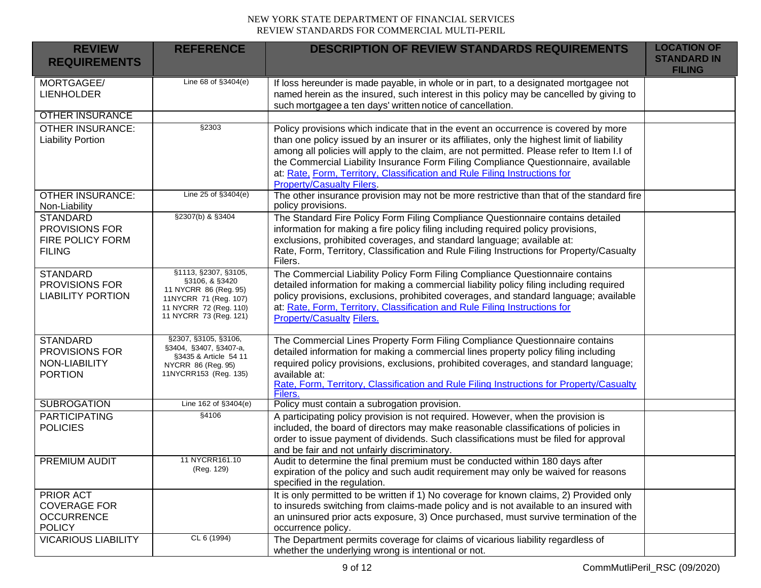| <b>REVIEW</b><br><b>REQUIREMENTS</b>                                   | <b>REFERENCE</b>                                                                                                                             | <b>DESCRIPTION OF REVIEW STANDARDS REQUIREMENTS</b>                                                                                                                                                                                                                                                                                                                                                                                                                                      | <b>LOCATION OF</b><br><b>STANDARD IN</b><br><b>FILING</b> |
|------------------------------------------------------------------------|----------------------------------------------------------------------------------------------------------------------------------------------|------------------------------------------------------------------------------------------------------------------------------------------------------------------------------------------------------------------------------------------------------------------------------------------------------------------------------------------------------------------------------------------------------------------------------------------------------------------------------------------|-----------------------------------------------------------|
| MORTGAGEE/<br><b>LIENHOLDER</b>                                        | Line 68 of §3404(e)                                                                                                                          | If loss hereunder is made payable, in whole or in part, to a designated mortgagee not<br>named herein as the insured, such interest in this policy may be cancelled by giving to<br>such mortgagee a ten days' written notice of cancellation.                                                                                                                                                                                                                                           |                                                           |
| <b>OTHER INSURANCE</b>                                                 |                                                                                                                                              |                                                                                                                                                                                                                                                                                                                                                                                                                                                                                          |                                                           |
| <b>OTHER INSURANCE:</b><br><b>Liability Portion</b>                    | §2303                                                                                                                                        | Policy provisions which indicate that in the event an occurrence is covered by more<br>than one policy issued by an insurer or its affiliates, only the highest limit of liability<br>among all policies will apply to the claim, are not permitted. Please refer to Item I.I of<br>the Commercial Liability Insurance Form Filing Compliance Questionnaire, available<br>at: Rate, Form, Territory, Classification and Rule Filing Instructions for<br><b>Property/Casualty Filers.</b> |                                                           |
| <b>OTHER INSURANCE:</b><br>Non-Liability                               | Line 25 of $§3404(e)$                                                                                                                        | The other insurance provision may not be more restrictive than that of the standard fire<br>policy provisions.                                                                                                                                                                                                                                                                                                                                                                           |                                                           |
| <b>STANDARD</b><br>PROVISIONS FOR<br>FIRE POLICY FORM<br><b>FILING</b> | §2307(b) & §3404                                                                                                                             | The Standard Fire Policy Form Filing Compliance Questionnaire contains detailed<br>information for making a fire policy filing including required policy provisions,<br>exclusions, prohibited coverages, and standard language; available at:<br>Rate, Form, Territory, Classification and Rule Filing Instructions for Property/Casualty<br>Filers.                                                                                                                                    |                                                           |
| <b>STANDARD</b><br>PROVISIONS FOR<br><b>LIABILITY PORTION</b>          | §1113, §2307, §3105,<br>§3106, & §3420<br>11 NYCRR 86 (Reg. 95)<br>11NYCRR 71 (Reg. 107)<br>11 NYCRR 72 (Reg. 110)<br>11 NYCRR 73 (Reg. 121) | The Commercial Liability Policy Form Filing Compliance Questionnaire contains<br>detailed information for making a commercial liability policy filing including required<br>policy provisions, exclusions, prohibited coverages, and standard language; available<br>at: Rate, Form, Territory, Classification and Rule Filing Instructions for<br><b>Property/Casualty Filers.</b>                                                                                                      |                                                           |
| <b>STANDARD</b><br>PROVISIONS FOR<br>NON-LIABILITY<br><b>PORTION</b>   | §2307, §3105, §3106,<br>§3404, §3407, §3407-a,<br>§3435 & Article 54 11<br>NYCRR 86 (Reg. 95)<br>11NYCRR153 (Reg. 135)                       | The Commercial Lines Property Form Filing Compliance Questionnaire contains<br>detailed information for making a commercial lines property policy filing including<br>required policy provisions, exclusions, prohibited coverages, and standard language;<br>available at:<br>Rate, Form, Territory, Classification and Rule Filing Instructions for Property/Casualty<br>Filers.                                                                                                       |                                                           |
| <b>SUBROGATION</b>                                                     | Line 162 of §3404(e)                                                                                                                         | Policy must contain a subrogation provision.                                                                                                                                                                                                                                                                                                                                                                                                                                             |                                                           |
| <b>PARTICIPATING</b><br><b>POLICIES</b>                                | §4106                                                                                                                                        | A participating policy provision is not required. However, when the provision is<br>included, the board of directors may make reasonable classifications of policies in<br>order to issue payment of dividends. Such classifications must be filed for approval<br>and be fair and not unfairly discriminatory.                                                                                                                                                                          |                                                           |
| <b>PREMIUM AUDIT</b>                                                   | 11 NYCRR161.10<br>(Reg. 129)                                                                                                                 | Audit to determine the final premium must be conducted within 180 days after<br>expiration of the policy and such audit requirement may only be waived for reasons<br>specified in the regulation.                                                                                                                                                                                                                                                                                       |                                                           |
| PRIOR ACT<br><b>COVERAGE FOR</b><br><b>OCCURRENCE</b><br><b>POLICY</b> |                                                                                                                                              | It is only permitted to be written if 1) No coverage for known claims, 2) Provided only<br>to insureds switching from claims-made policy and is not available to an insured with<br>an uninsured prior acts exposure, 3) Once purchased, must survive termination of the<br>occurrence policy.                                                                                                                                                                                           |                                                           |
| <b>VICARIOUS LIABILITY</b>                                             | CL 6 (1994)                                                                                                                                  | The Department permits coverage for claims of vicarious liability regardless of<br>whether the underlying wrong is intentional or not.                                                                                                                                                                                                                                                                                                                                                   |                                                           |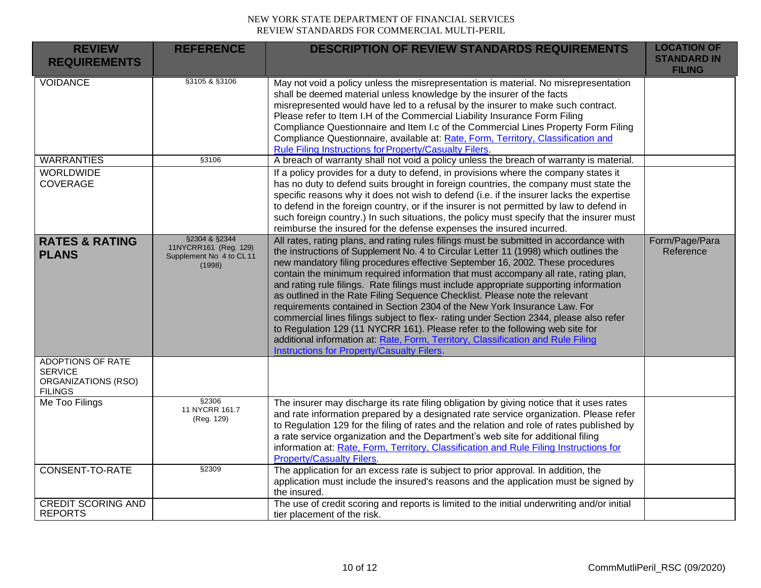| <b>REVIEW</b><br><b>REQUIREMENTS</b>                                         | <b>REFERENCE</b>                                                            | <b>DESCRIPTION OF REVIEW STANDARDS REQUIREMENTS</b>                                                                                                                                                                                                                                                                                                                                                                                                                                                                                                                                                                                                                                                                                                                                                                                                                                                                     | <b>LOCATION OF</b><br><b>STANDARD IN</b> |
|------------------------------------------------------------------------------|-----------------------------------------------------------------------------|-------------------------------------------------------------------------------------------------------------------------------------------------------------------------------------------------------------------------------------------------------------------------------------------------------------------------------------------------------------------------------------------------------------------------------------------------------------------------------------------------------------------------------------------------------------------------------------------------------------------------------------------------------------------------------------------------------------------------------------------------------------------------------------------------------------------------------------------------------------------------------------------------------------------------|------------------------------------------|
|                                                                              |                                                                             |                                                                                                                                                                                                                                                                                                                                                                                                                                                                                                                                                                                                                                                                                                                                                                                                                                                                                                                         | <b>FILING</b>                            |
| <b>VOIDANCE</b>                                                              | §3105 & §3106                                                               | May not void a policy unless the misrepresentation is material. No misrepresentation<br>shall be deemed material unless knowledge by the insurer of the facts<br>misrepresented would have led to a refusal by the insurer to make such contract.<br>Please refer to Item I.H of the Commercial Liability Insurance Form Filing<br>Compliance Questionnaire and Item I.c of the Commercial Lines Property Form Filing<br>Compliance Questionnaire, available at: Rate, Form, Territory, Classification and<br>Rule Filing Instructions for Property/Casualty Filers.                                                                                                                                                                                                                                                                                                                                                    |                                          |
| <b>WARRANTIES</b>                                                            | §3106                                                                       | A breach of warranty shall not void a policy unless the breach of warranty is material.                                                                                                                                                                                                                                                                                                                                                                                                                                                                                                                                                                                                                                                                                                                                                                                                                                 |                                          |
| <b>WORLDWIDE</b><br><b>COVERAGE</b>                                          |                                                                             | If a policy provides for a duty to defend, in provisions where the company states it<br>has no duty to defend suits brought in foreign countries, the company must state the<br>specific reasons why it does not wish to defend (i.e. if the insurer lacks the expertise<br>to defend in the foreign country, or if the insurer is not permitted by law to defend in<br>such foreign country.) In such situations, the policy must specify that the insurer must<br>reimburse the insured for the defense expenses the insured incurred.                                                                                                                                                                                                                                                                                                                                                                                |                                          |
| <b>RATES &amp; RATING</b><br><b>PLANS</b>                                    | §2304 & §2344<br>11NYCRR161 (Reg. 129)<br>Supplement No 4 to CL11<br>(1998) | All rates, rating plans, and rating rules filings must be submitted in accordance with<br>the instructions of Supplement No. 4 to Circular Letter 11 (1998) which outlines the<br>new mandatory filing procedures effective September 16, 2002. These procedures<br>contain the minimum required information that must accompany all rate, rating plan,<br>and rating rule filings. Rate filings must include appropriate supporting information<br>as outlined in the Rate Filing Sequence Checklist. Please note the relevant<br>requirements contained in Section 2304 of the New York Insurance Law. For<br>commercial lines filings subject to flex- rating under Section 2344, please also refer<br>to Regulation 129 (11 NYCRR 161). Please refer to the following web site for<br>additional information at: Rate, Form, Territory, Classification and Rule Filing<br>Instructions for Property/Casualty Filers | Form/Page/Para<br>Reference              |
| ADOPTIONS OF RATE<br><b>SERVICE</b><br>ORGANIZATIONS (RSO)<br><b>FILINGS</b> |                                                                             |                                                                                                                                                                                                                                                                                                                                                                                                                                                                                                                                                                                                                                                                                                                                                                                                                                                                                                                         |                                          |
| Me Too Filings                                                               | §2306<br>11 NYCRR 161.7<br>(Reg. 129)                                       | The insurer may discharge its rate filing obligation by giving notice that it uses rates<br>and rate information prepared by a designated rate service organization. Please refer<br>to Regulation 129 for the filing of rates and the relation and role of rates published by<br>a rate service organization and the Department's web site for additional filing<br>information at: Rate, Form, Territory, Classification and Rule Filing Instructions for<br><b>Property/Casualty Filers.</b>                                                                                                                                                                                                                                                                                                                                                                                                                         |                                          |
| <b>CONSENT-TO-RATE</b>                                                       | §2309                                                                       | The application for an excess rate is subject to prior approval. In addition, the<br>application must include the insured's reasons and the application must be signed by<br>the insured.                                                                                                                                                                                                                                                                                                                                                                                                                                                                                                                                                                                                                                                                                                                               |                                          |
| <b>CREDIT SCORING AND</b><br><b>REPORTS</b>                                  |                                                                             | The use of credit scoring and reports is limited to the initial underwriting and/or initial<br>tier placement of the risk.                                                                                                                                                                                                                                                                                                                                                                                                                                                                                                                                                                                                                                                                                                                                                                                              |                                          |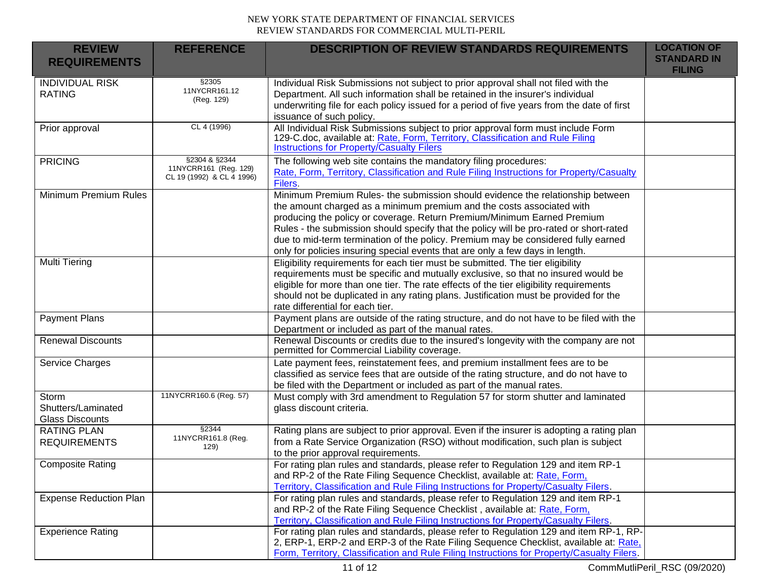| <b>REVIEW</b><br><b>REQUIREMENTS</b>                  | <b>REFERENCE</b>                                                    | <b>DESCRIPTION OF REVIEW STANDARDS REQUIREMENTS</b>                                                                                                                                                                                                                                                                                                                                                                                                                                                | <b>LOCATION OF</b><br><b>STANDARD IN</b><br><b>FILING</b> |
|-------------------------------------------------------|---------------------------------------------------------------------|----------------------------------------------------------------------------------------------------------------------------------------------------------------------------------------------------------------------------------------------------------------------------------------------------------------------------------------------------------------------------------------------------------------------------------------------------------------------------------------------------|-----------------------------------------------------------|
| <b>INDIVIDUAL RISK</b><br><b>RATING</b>               | §2305<br>11NYCRR161.12<br>(Reg. 129)                                | Individual Risk Submissions not subject to prior approval shall not filed with the<br>Department. All such information shall be retained in the insurer's individual<br>underwriting file for each policy issued for a period of five years from the date of first<br>issuance of such policy.                                                                                                                                                                                                     |                                                           |
| Prior approval                                        | CL 4 (1996)                                                         | All Individual Risk Submissions subject to prior approval form must include Form<br>129-C.doc, available at: Rate, Form, Territory, Classification and Rule Filing<br><b>Instructions for Property/Casualty Filers</b>                                                                                                                                                                                                                                                                             |                                                           |
| <b>PRICING</b>                                        | §2304 & §2344<br>11NYCRR161 (Reg. 129)<br>CL 19 (1992) & CL 4 1996) | The following web site contains the mandatory filing procedures:<br>Rate, Form, Territory, Classification and Rule Filing Instructions for Property/Casualty<br>Filers.                                                                                                                                                                                                                                                                                                                            |                                                           |
| Minimum Premium Rules                                 |                                                                     | Minimum Premium Rules- the submission should evidence the relationship between<br>the amount charged as a minimum premium and the costs associated with<br>producing the policy or coverage. Return Premium/Minimum Earned Premium<br>Rules - the submission should specify that the policy will be pro-rated or short-rated<br>due to mid-term termination of the policy. Premium may be considered fully earned<br>only for policies insuring special events that are only a few days in length. |                                                           |
| Multi Tiering                                         |                                                                     | Eligibility requirements for each tier must be submitted. The tier eligibility<br>requirements must be specific and mutually exclusive, so that no insured would be<br>eligible for more than one tier. The rate effects of the tier eligibility requirements<br>should not be duplicated in any rating plans. Justification must be provided for the<br>rate differential for each tier.                                                                                                          |                                                           |
| <b>Payment Plans</b>                                  |                                                                     | Payment plans are outside of the rating structure, and do not have to be filed with the<br>Department or included as part of the manual rates.                                                                                                                                                                                                                                                                                                                                                     |                                                           |
| <b>Renewal Discounts</b>                              |                                                                     | Renewal Discounts or credits due to the insured's longevity with the company are not<br>permitted for Commercial Liability coverage.                                                                                                                                                                                                                                                                                                                                                               |                                                           |
| Service Charges                                       |                                                                     | Late payment fees, reinstatement fees, and premium installment fees are to be<br>classified as service fees that are outside of the rating structure, and do not have to<br>be filed with the Department or included as part of the manual rates.                                                                                                                                                                                                                                                  |                                                           |
| Storm<br>Shutters/Laminated<br><b>Glass Discounts</b> | 11NYCRR160.6 (Reg. 57)                                              | Must comply with 3rd amendment to Regulation 57 for storm shutter and laminated<br>glass discount criteria.                                                                                                                                                                                                                                                                                                                                                                                        |                                                           |
| <b>RATING PLAN</b><br><b>REQUIREMENTS</b>             | \$2344<br>11NYCRR161.8 (Reg.<br>129)                                | Rating plans are subject to prior approval. Even if the insurer is adopting a rating plan<br>from a Rate Service Organization (RSO) without modification, such plan is subject<br>to the prior approval requirements.                                                                                                                                                                                                                                                                              |                                                           |
| <b>Composite Rating</b>                               |                                                                     | For rating plan rules and standards, please refer to Regulation 129 and item RP-1<br>and RP-2 of the Rate Filing Sequence Checklist, available at: Rate, Form,<br>Territory, Classification and Rule Filing Instructions for Property/Casualty Filers.                                                                                                                                                                                                                                             |                                                           |
| <b>Expense Reduction Plan</b>                         |                                                                     | For rating plan rules and standards, please refer to Regulation 129 and item RP-1<br>and RP-2 of the Rate Filing Sequence Checklist, available at: Rate, Form,<br>Territory, Classification and Rule Filing Instructions for Property/Casualty Filers.                                                                                                                                                                                                                                             |                                                           |
| <b>Experience Rating</b>                              |                                                                     | For rating plan rules and standards, please refer to Regulation 129 and item RP-1, RP-<br>2, ERP-1, ERP-2 and ERP-3 of the Rate Filing Sequence Checklist, available at: Rate,<br>Form, Territory, Classification and Rule Filing Instructions for Property/Casualty Filers.                                                                                                                                                                                                                       |                                                           |